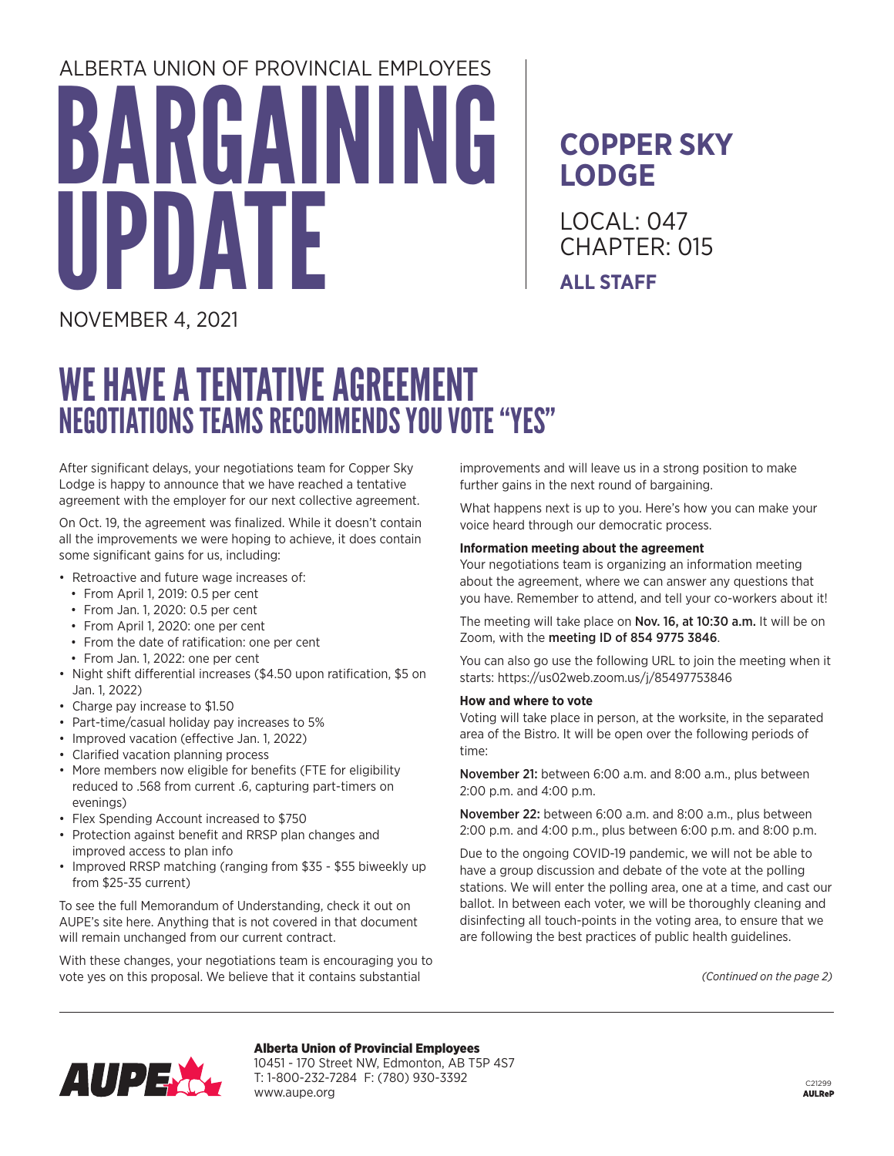# BARGAINING TF ALBERTA UNION OF PROVINCIAL EMPLOYEES

### **COPPER SKY LODGE**

LOCAL: 047 CHAPTER: 015 **ALL STAFF**

NOVEMBER 4, 2021

## WE HAVE A TENTATIVE AGREEMENT NEGOTIATIONS TEAMS RECOMMENDS YOU VOTE "YES"

After significant delays, your negotiations team for Copper Sky Lodge is happy to announce that we have reached a tentative agreement with the employer for our next collective agreement.

On Oct. 19, the agreement was finalized. While it doesn't contain all the improvements we were hoping to achieve, it does contain some significant gains for us, including:

- Retroactive and future wage increases of:
	- From April 1, 2019: 0.5 per cent
	- From Jan. 1, 2020: 0.5 per cent
	- From April 1, 2020: one per cent
	- From the date of ratification: one per cent
	- From Jan. 1, 2022: one per cent
- Night shift differential increases (\$4.50 upon ratification, \$5 on Jan. 1, 2022)
- Charge pay increase to \$1.50
- Part-time/casual holiday pay increases to 5%
- Improved vacation (effective Jan. 1, 2022)
- Clarified vacation planning process
- More members now eligible for benefits (FTE for eligibility reduced to .568 from current .6, capturing part-timers on evenings)
- Flex Spending Account increased to \$750
- Protection against benefit and RRSP plan changes and improved access to plan info
- Improved RRSP matching (ranging from \$35 \$55 biweekly up from \$25-35 current)

To see the full Memorandum of Understanding, check it out on AUPE's site here. Anything that is not covered in that document will remain unchanged from our current contract.

With these changes, your negotiations team is encouraging you to vote yes on this proposal. We believe that it contains substantial

www.aupe.org

improvements and will leave us in a strong position to make further gains in the next round of bargaining.

What happens next is up to you. Here's how you can make your voice heard through our democratic process.

#### **Information meeting about the agreement**

Your negotiations team is organizing an information meeting about the agreement, where we can answer any questions that you have. Remember to attend, and tell your co-workers about it!

The meeting will take place on Nov. 16, at 10:30 a.m. It will be on Zoom, with the meeting ID of 854 9775 3846.

You can also go use the following URL to join the meeting when it starts: https://us02web.zoom.us/j/85497753846

#### **How and where to vote**

Voting will take place in person, at the worksite, in the separated area of the Bistro. It will be open over the following periods of time:

November 21: between 6:00 a.m. and 8:00 a.m., plus between 2:00 p.m. and 4:00 p.m.

November 22: between 6:00 a.m. and 8:00 a.m., plus between 2:00 p.m. and 4:00 p.m., plus between 6:00 p.m. and 8:00 p.m.

Due to the ongoing COVID-19 pandemic, we will not be able to have a group discussion and debate of the vote at the polling stations. We will enter the polling area, one at a time, and cast our ballot. In between each voter, we will be thoroughly cleaning and disinfecting all touch-points in the voting area, to ensure that we are following the best practices of public health guidelines.

*(Continued on the page 2)*



Alberta Union of Provincial Employees 10451 - 170 Street NW, Edmonton, AB T5P 4S7 T: 1-800-232-7284 F: (780) 930-3392